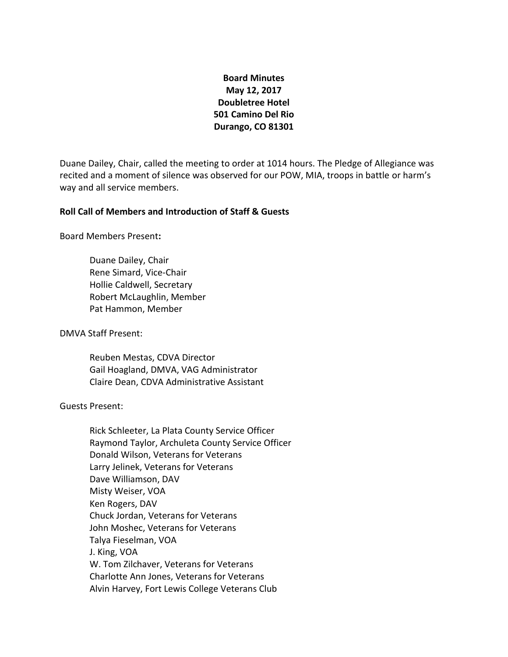# **Board Minutes May 12, 2017 Doubletree Hotel 501 Camino Del Rio Durango, CO 81301**

Duane Dailey, Chair, called the meeting to order at 1014 hours. The Pledge of Allegiance was recited and a moment of silence was observed for our POW, MIA, troops in battle or harm's way and all service members.

## **Roll Call of Members and Introduction of Staff & Guests**

Board Members Present**:**

Duane Dailey, Chair Rene Simard, Vice-Chair Hollie Caldwell, Secretary Robert McLaughlin, Member Pat Hammon, Member

DMVA Staff Present:

Reuben Mestas, CDVA Director Gail Hoagland, DMVA, VAG Administrator Claire Dean, CDVA Administrative Assistant

Guests Present:

Rick Schleeter, La Plata County Service Officer Raymond Taylor, Archuleta County Service Officer Donald Wilson, Veterans for Veterans Larry Jelinek, Veterans for Veterans Dave Williamson, DAV Misty Weiser, VOA Ken Rogers, DAV Chuck Jordan, Veterans for Veterans John Moshec, Veterans for Veterans Talya Fieselman, VOA J. King, VOA W. Tom Zilchaver, Veterans for Veterans Charlotte Ann Jones, Veterans for Veterans Alvin Harvey, Fort Lewis College Veterans Club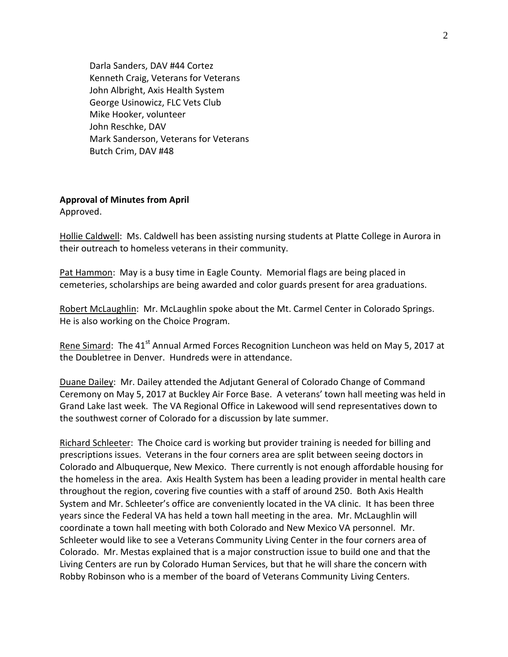Darla Sanders, DAV #44 Cortez Kenneth Craig, Veterans for Veterans John Albright, Axis Health System George Usinowicz, FLC Vets Club Mike Hooker, volunteer John Reschke, DAV Mark Sanderson, Veterans for Veterans Butch Crim, DAV #48

### **Approval of Minutes from April**

Approved.

Hollie Caldwell: Ms. Caldwell has been assisting nursing students at Platte College in Aurora in their outreach to homeless veterans in their community.

Pat Hammon: May is a busy time in Eagle County. Memorial flags are being placed in cemeteries, scholarships are being awarded and color guards present for area graduations.

Robert McLaughlin: Mr. McLaughlin spoke about the Mt. Carmel Center in Colorado Springs. He is also working on the Choice Program.

Rene Simard: The 41<sup>st</sup> Annual Armed Forces Recognition Luncheon was held on May 5, 2017 at the Doubletree in Denver. Hundreds were in attendance.

Duane Dailey: Mr. Dailey attended the Adjutant General of Colorado Change of Command Ceremony on May 5, 2017 at Buckley Air Force Base. A veterans' town hall meeting was held in Grand Lake last week. The VA Regional Office in Lakewood will send representatives down to the southwest corner of Colorado for a discussion by late summer.

Richard Schleeter: The Choice card is working but provider training is needed for billing and prescriptions issues. Veterans in the four corners area are split between seeing doctors in Colorado and Albuquerque, New Mexico. There currently is not enough affordable housing for the homeless in the area. Axis Health System has been a leading provider in mental health care throughout the region, covering five counties with a staff of around 250. Both Axis Health System and Mr. Schleeter's office are conveniently located in the VA clinic. It has been three years since the Federal VA has held a town hall meeting in the area. Mr. McLaughlin will coordinate a town hall meeting with both Colorado and New Mexico VA personnel. Mr. Schleeter would like to see a Veterans Community Living Center in the four corners area of Colorado. Mr. Mestas explained that is a major construction issue to build one and that the Living Centers are run by Colorado Human Services, but that he will share the concern with Robby Robinson who is a member of the board of Veterans Community Living Centers.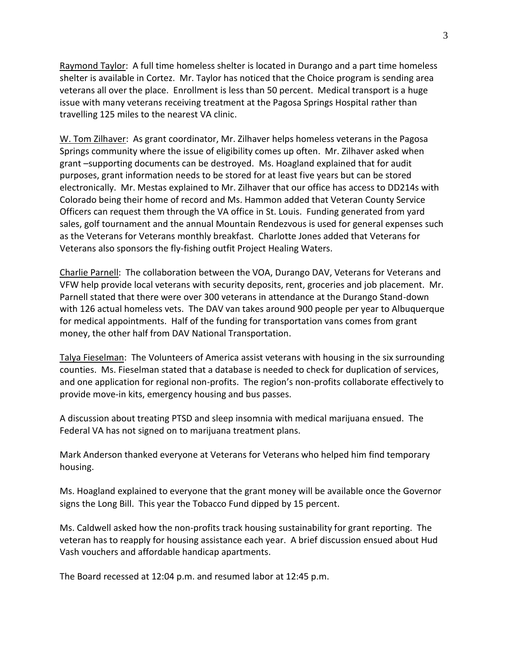Raymond Taylor: A full time homeless shelter is located in Durango and a part time homeless shelter is available in Cortez. Mr. Taylor has noticed that the Choice program is sending area veterans all over the place. Enrollment is less than 50 percent. Medical transport is a huge issue with many veterans receiving treatment at the Pagosa Springs Hospital rather than travelling 125 miles to the nearest VA clinic.

W. Tom Zilhaver: As grant coordinator, Mr. Zilhaver helps homeless veterans in the Pagosa Springs community where the issue of eligibility comes up often. Mr. Zilhaver asked when grant –supporting documents can be destroyed. Ms. Hoagland explained that for audit purposes, grant information needs to be stored for at least five years but can be stored electronically. Mr. Mestas explained to Mr. Zilhaver that our office has access to DD214s with Colorado being their home of record and Ms. Hammon added that Veteran County Service Officers can request them through the VA office in St. Louis. Funding generated from yard sales, golf tournament and the annual Mountain Rendezvous is used for general expenses such as the Veterans for Veterans monthly breakfast. Charlotte Jones added that Veterans for Veterans also sponsors the fly-fishing outfit Project Healing Waters.

Charlie Parnell: The collaboration between the VOA, Durango DAV, Veterans for Veterans and VFW help provide local veterans with security deposits, rent, groceries and job placement. Mr. Parnell stated that there were over 300 veterans in attendance at the Durango Stand-down with 126 actual homeless vets. The DAV van takes around 900 people per year to Albuquerque for medical appointments. Half of the funding for transportation vans comes from grant money, the other half from DAV National Transportation.

Talya Fieselman: The Volunteers of America assist veterans with housing in the six surrounding counties. Ms. Fieselman stated that a database is needed to check for duplication of services, and one application for regional non-profits. The region's non-profits collaborate effectively to provide move-in kits, emergency housing and bus passes.

A discussion about treating PTSD and sleep insomnia with medical marijuana ensued. The Federal VA has not signed on to marijuana treatment plans.

Mark Anderson thanked everyone at Veterans for Veterans who helped him find temporary housing.

Ms. Hoagland explained to everyone that the grant money will be available once the Governor signs the Long Bill. This year the Tobacco Fund dipped by 15 percent.

Ms. Caldwell asked how the non-profits track housing sustainability for grant reporting. The veteran has to reapply for housing assistance each year. A brief discussion ensued about Hud Vash vouchers and affordable handicap apartments.

The Board recessed at 12:04 p.m. and resumed labor at 12:45 p.m.